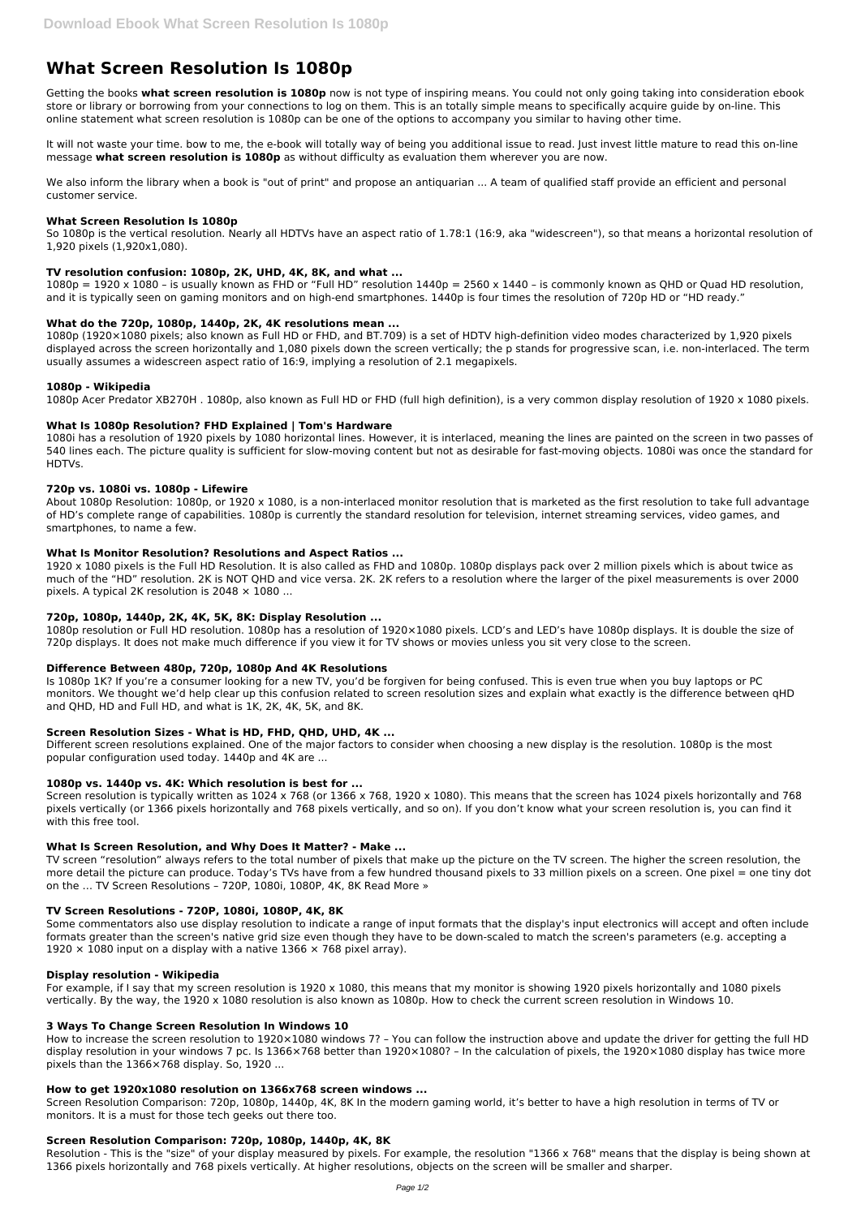# **What Screen Resolution Is 1080p**

Getting the books **what screen resolution is 1080p** now is not type of inspiring means. You could not only going taking into consideration ebook store or library or borrowing from your connections to log on them. This is an totally simple means to specifically acquire guide by on-line. This online statement what screen resolution is 1080p can be one of the options to accompany you similar to having other time.

We also inform the library when a book is "out of print" and propose an antiquarian ... A team of qualified staff provide an efficient and personal customer service.

It will not waste your time. bow to me, the e-book will totally way of being you additional issue to read. Just invest little mature to read this on-line message **what screen resolution is 1080p** as without difficulty as evaluation them wherever you are now.

 $1080p = 1920 \times 1080$  – is usually known as FHD or "Full HD" resolution  $1440p = 2560 \times 1440$  – is commonly known as OHD or Ouad HD resolution, and it is typically seen on gaming monitors and on high-end smartphones. 1440p is four times the resolution of 720p HD or "HD ready."

## **What Screen Resolution Is 1080p**

So 1080p is the vertical resolution. Nearly all HDTVs have an aspect ratio of 1.78:1 (16:9, aka "widescreen"), so that means a horizontal resolution of 1,920 pixels (1,920x1,080).

## **TV resolution confusion: 1080p, 2K, UHD, 4K, 8K, and what ...**

1920 x 1080 pixels is the Full HD Resolution. It is also called as FHD and 1080p. 1080p displays pack over 2 million pixels which is about twice as much of the "HD" resolution. 2K is NOT QHD and vice versa. 2K. 2K refers to a resolution where the larger of the pixel measurements is over 2000 pixels. A typical 2K resolution is  $2048 \times 1080$  ...

## **What do the 720p, 1080p, 1440p, 2K, 4K resolutions mean ...**

1080p (1920×1080 pixels; also known as Full HD or FHD, and BT.709) is a set of HDTV high-definition video modes characterized by 1,920 pixels displayed across the screen horizontally and 1,080 pixels down the screen vertically; the p stands for progressive scan, i.e. non-interlaced. The term usually assumes a widescreen aspect ratio of 16:9, implying a resolution of 2.1 megapixels.

## **1080p - Wikipedia**

1080p Acer Predator XB270H . 1080p, also known as Full HD or FHD (full high definition), is a very common display resolution of 1920 x 1080 pixels.

## **What Is 1080p Resolution? FHD Explained | Tom's Hardware**

1080i has a resolution of 1920 pixels by 1080 horizontal lines. However, it is interlaced, meaning the lines are painted on the screen in two passes of 540 lines each. The picture quality is sufficient for slow-moving content but not as desirable for fast-moving objects. 1080i was once the standard for HDTVs.

## **720p vs. 1080i vs. 1080p - Lifewire**

Some commentators also use display resolution to indicate a range of input formats that the display's input electronics will accept and often include formats greater than the screen's native grid size even though they have to be down-scaled to match the screen's parameters (e.g. accepting a 1920  $\times$  1080 input on a display with a native 1366  $\times$  768 pixel array).

About 1080p Resolution: 1080p, or 1920 x 1080, is a non-interlaced monitor resolution that is marketed as the first resolution to take full advantage of HD's complete range of capabilities. 1080p is currently the standard resolution for television, internet streaming services, video games, and smartphones, to name a few.

## **What Is Monitor Resolution? Resolutions and Aspect Ratios ...**

# **720p, 1080p, 1440p, 2K, 4K, 5K, 8K: Display Resolution ...**

1080p resolution or Full HD resolution. 1080p has a resolution of 1920×1080 pixels. LCD's and LED's have 1080p displays. It is double the size of 720p displays. It does not make much difference if you view it for TV shows or movies unless you sit very close to the screen.

# **Difference Between 480p, 720p, 1080p And 4K Resolutions**

Is 1080p 1K? If you're a consumer looking for a new TV, you'd be forgiven for being confused. This is even true when you buy laptops or PC monitors. We thought we'd help clear up this confusion related to screen resolution sizes and explain what exactly is the difference between qHD and QHD, HD and Full HD, and what is 1K, 2K, 4K, 5K, and 8K.

# **Screen Resolution Sizes - What is HD, FHD, QHD, UHD, 4K ...**

Different screen resolutions explained. One of the major factors to consider when choosing a new display is the resolution. 1080p is the most popular configuration used today. 1440p and 4K are ...

## **1080p vs. 1440p vs. 4K: Which resolution is best for ...**

Screen resolution is typically written as 1024 x 768 (or 1366 x 768, 1920 x 1080). This means that the screen has 1024 pixels horizontally and 768 pixels vertically (or 1366 pixels horizontally and 768 pixels vertically, and so on). If you don't know what your screen resolution is, you can find it with this free tool.

# **What Is Screen Resolution, and Why Does It Matter? - Make ...**

TV screen "resolution" always refers to the total number of pixels that make up the picture on the TV screen. The higher the screen resolution, the more detail the picture can produce. Today's TVs have from a few hundred thousand pixels to 33 million pixels on a screen. One pixel = one tiny dot on the … TV Screen Resolutions – 720P, 1080i, 1080P, 4K, 8K Read More »

## **TV Screen Resolutions - 720P, 1080i, 1080P, 4K, 8K**

#### **Display resolution - Wikipedia**

For example, if I say that my screen resolution is 1920 x 1080, this means that my monitor is showing 1920 pixels horizontally and 1080 pixels vertically. By the way, the 1920 x 1080 resolution is also known as 1080p. How to check the current screen resolution in Windows 10.

#### **3 Ways To Change Screen Resolution In Windows 10**

How to increase the screen resolution to 1920×1080 windows 7? – You can follow the instruction above and update the driver for getting the full HD display resolution in your windows 7 pc. Is 1366×768 better than  $1920\times1080$ ? – In the calculation of pixels, the 1920×1080 display has twice more pixels than the 1366×768 display. So, 1920 ...

#### **How to get 1920x1080 resolution on 1366x768 screen windows ...**

Screen Resolution Comparison: 720p, 1080p, 1440p, 4K, 8K In the modern gaming world, it's better to have a high resolution in terms of TV or monitors. It is a must for those tech geeks out there too.

## **Screen Resolution Comparison: 720p, 1080p, 1440p, 4K, 8K**

Resolution - This is the "size" of your display measured by pixels. For example, the resolution "1366 x 768" means that the display is being shown at 1366 pixels horizontally and 768 pixels vertically. At higher resolutions, objects on the screen will be smaller and sharper.